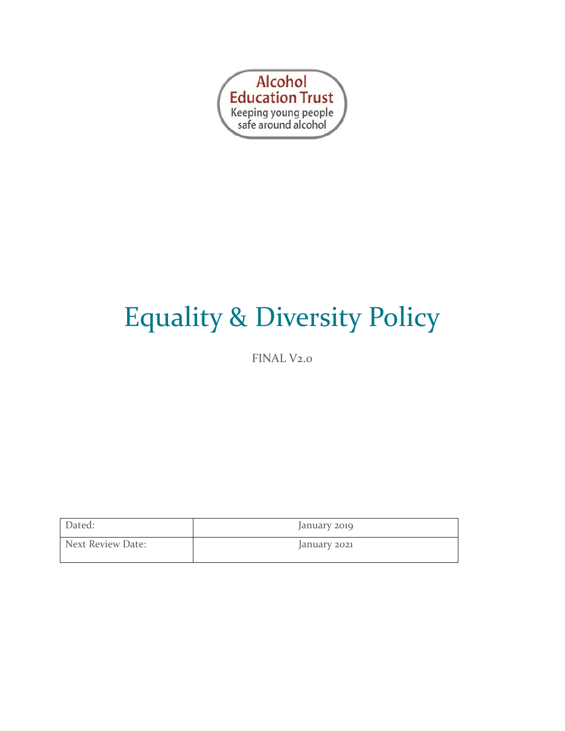

# Equality & Diversity Policy

FINAL V2.0

| Dated:            | January 2019 |
|-------------------|--------------|
| Next Review Date: | January 2021 |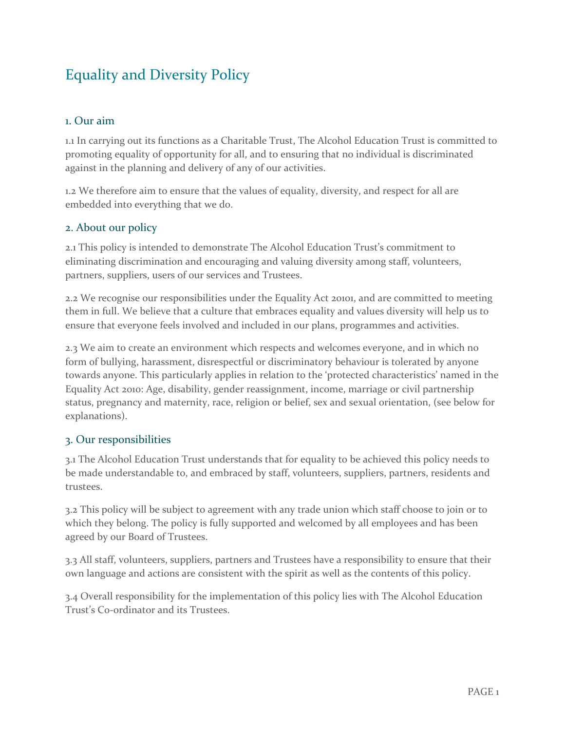# Equality and Diversity Policy

# 1. Our aim

1.1 In carrying out its functions as a Charitable Trust, The Alcohol Education Trust is committed to promoting equality of opportunity for all, and to ensuring that no individual is discriminated against in the planning and delivery of any of our activities.

1.2 We therefore aim to ensure that the values of equality, diversity, and respect for all are embedded into everything that we do.

# 2. About our policy

2.1 This policy is intended to demonstrate The Alcohol Education Trust's commitment to eliminating discrimination and encouraging and valuing diversity among staff, volunteers, partners, suppliers, users of our services and Trustees.

2.2 We recognise our responsibilities under the Equality Act 20101, and are committed to meeting them in full. We believe that a culture that embraces equality and values diversity will help us to ensure that everyone feels involved and included in our plans, programmes and activities.

2.3 We aim to create an environment which respects and welcomes everyone, and in which no form of bullying, harassment, disrespectful or discriminatory behaviour is tolerated by anyone towards anyone. This particularly applies in relation to the 'protected characteristics' named in the Equality Act 2010: Age, disability, gender reassignment, income, marriage or civil partnership status, pregnancy and maternity, race, religion or belief, sex and sexual orientation, (see below for explanations).

# 3. Our responsibilities

3.1 The Alcohol Education Trust understands that for equality to be achieved this policy needs to be made understandable to, and embraced by staff, volunteers, suppliers, partners, residents and trustees.

3.2 This policy will be subject to agreement with any trade union which staff choose to join or to which they belong. The policy is fully supported and welcomed by all employees and has been agreed by our Board of Trustees.

3.3 All staff, volunteers, suppliers, partners and Trustees have a responsibility to ensure that their own language and actions are consistent with the spirit as well as the contents of this policy.

3.4 Overall responsibility for the implementation of this policy lies with The Alcohol Education Trust's Co-ordinator and its Trustees.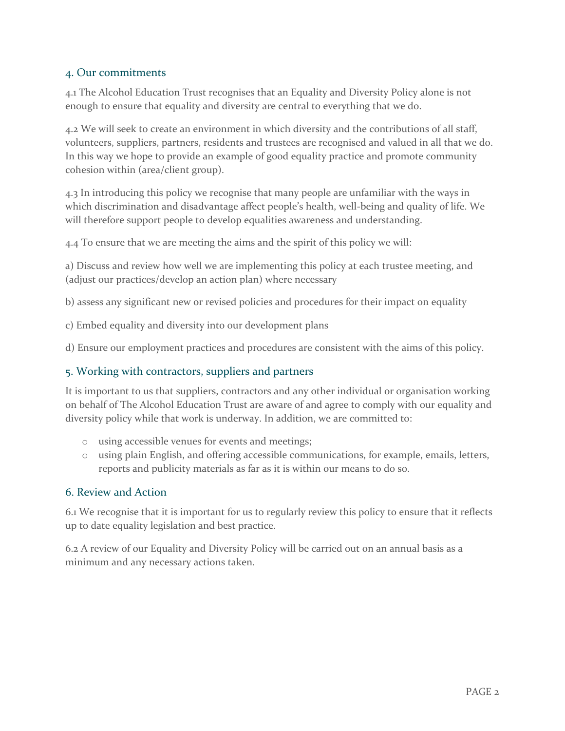#### 4. Our commitments

4.1 The Alcohol Education Trust recognises that an Equality and Diversity Policy alone is not enough to ensure that equality and diversity are central to everything that we do.

4.2 We will seek to create an environment in which diversity and the contributions of all staff, volunteers, suppliers, partners, residents and trustees are recognised and valued in all that we do. In this way we hope to provide an example of good equality practice and promote community cohesion within (area/client group).

4.3 In introducing this policy we recognise that many people are unfamiliar with the ways in which discrimination and disadvantage affect people's health, well-being and quality of life. We will therefore support people to develop equalities awareness and understanding.

4.4 To ensure that we are meeting the aims and the spirit of this policy we will:

a) Discuss and review how well we are implementing this policy at each trustee meeting, and (adjust our practices/develop an action plan) where necessary

b) assess any significant new or revised policies and procedures for their impact on equality

c) Embed equality and diversity into our development plans

d) Ensure our employment practices and procedures are consistent with the aims of this policy.

# 5. Working with contractors, suppliers and partners

It is important to us that suppliers, contractors and any other individual or organisation working on behalf of The Alcohol Education Trust are aware of and agree to comply with our equality and diversity policy while that work is underway. In addition, we are committed to:

- o using accessible venues for events and meetings;
- o using plain English, and offering accessible communications, for example, emails, letters, reports and publicity materials as far as it is within our means to do so.

#### 6. Review and Action

6.1 We recognise that it is important for us to regularly review this policy to ensure that it reflects up to date equality legislation and best practice.

6.2 A review of our Equality and Diversity Policy will be carried out on an annual basis as a minimum and any necessary actions taken.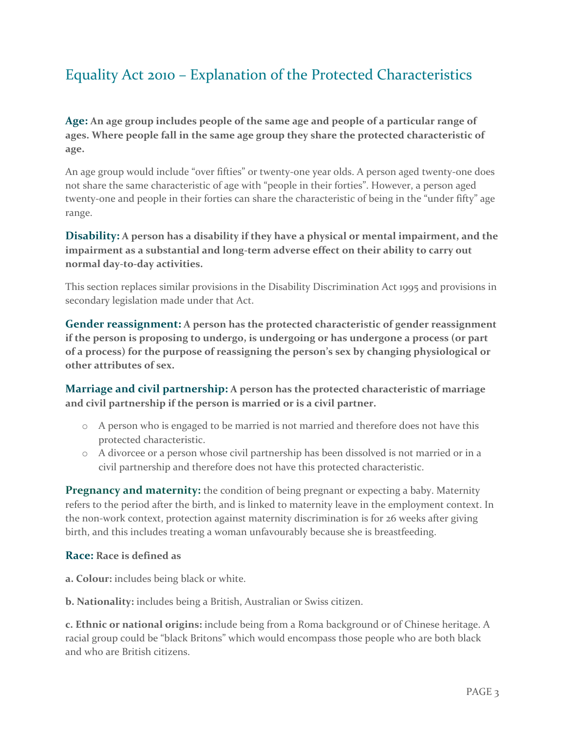# Equality Act 2010 – Explanation of the Protected Characteristics

**Age: An age group includes people of the same age and people of a particular range of ages. Where people fall in the same age group they share the protected characteristic of age.**

An age group would include "over fifties" or twenty-one year olds. A person aged twenty-one does not share the same characteristic of age with "people in their forties". However, a person aged twenty-one and people in their forties can share the characteristic of being in the "under fifty" age range.

# **Disability: A person has a disability if they have a physical or mental impairment, and the impairment as a substantial and long-term adverse effect on their ability to carry out normal day-to-day activities.**

This section replaces similar provisions in the Disability Discrimination Act 1995 and provisions in secondary legislation made under that Act.

**Gender reassignment: A person has the protected characteristic of gender reassignment if the person is proposing to undergo, is undergoing or has undergone a process (or part of a process) for the purpose of reassigning the person's sex by changing physiological or other attributes of sex.** 

**Marriage and civil partnership: A person has the protected characteristic of marriage and civil partnership if the person is married or is a civil partner.** 

- o A person who is engaged to be married is not married and therefore does not have this protected characteristic.
- o A divorcee or a person whose civil partnership has been dissolved is not married or in a civil partnership and therefore does not have this protected characteristic.

**Pregnancy and maternity:** the condition of being pregnant or expecting a baby. Maternity refers to the period after the birth, and is linked to maternity leave in the employment context. In the non-work context, protection against maternity discrimination is for 26 weeks after giving birth, and this includes treating a woman unfavourably because she is breastfeeding.

# **Race: Race is defined as**

**a. Colour:** includes being black or white.

**b. Nationality:** includes being a British, Australian or Swiss citizen.

**c. Ethnic or national origins:** include being from a Roma background or of Chinese heritage. A racial group could be "black Britons" which would encompass those people who are both black and who are British citizens.